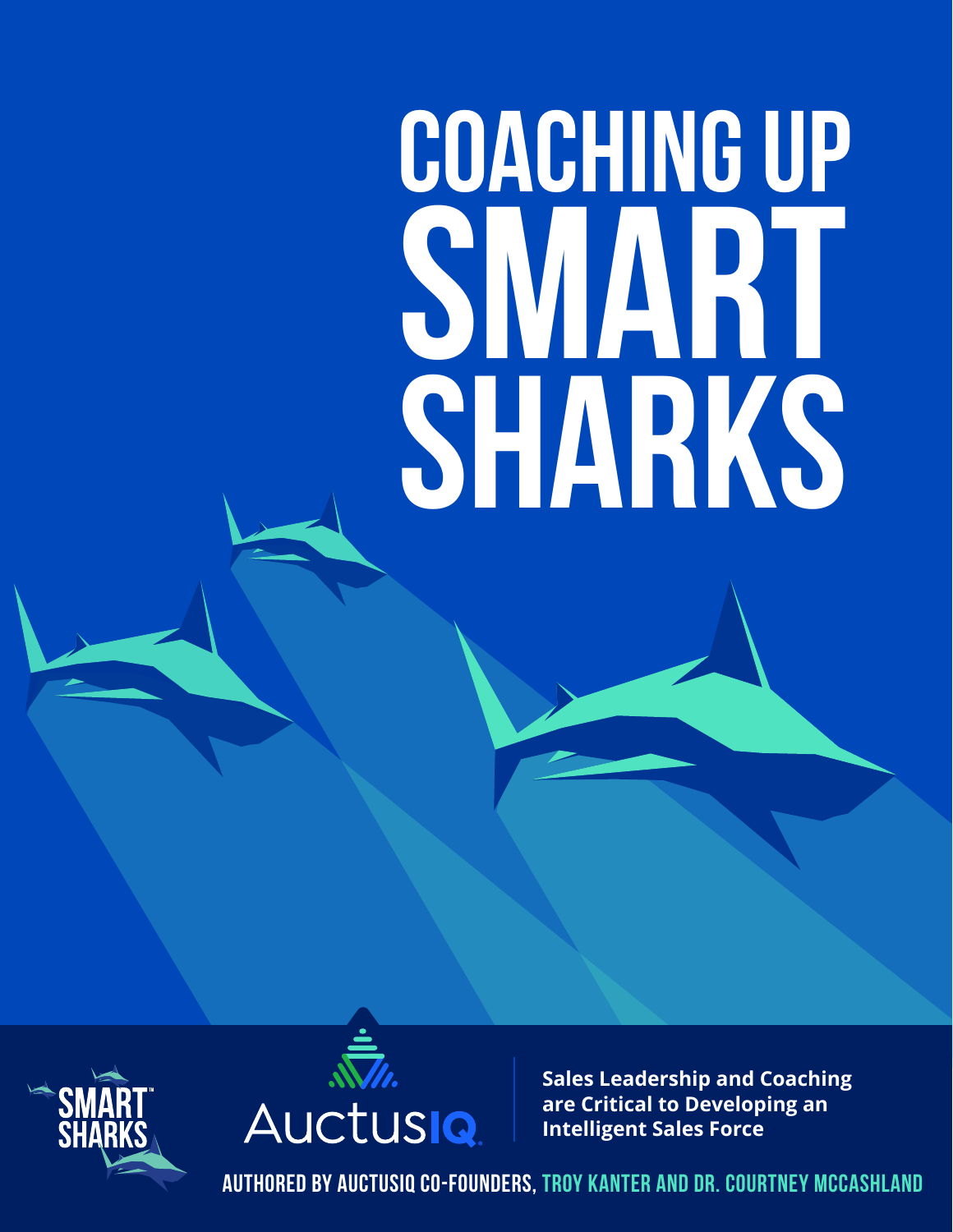# **COACHING UP SMART SHARKS**





**Sales Leadership and Coaching are Critical to Developing an Intelligent Sales Force**

**authored by auctusiq co-founders, troy kanter and dr. courtney mccashland**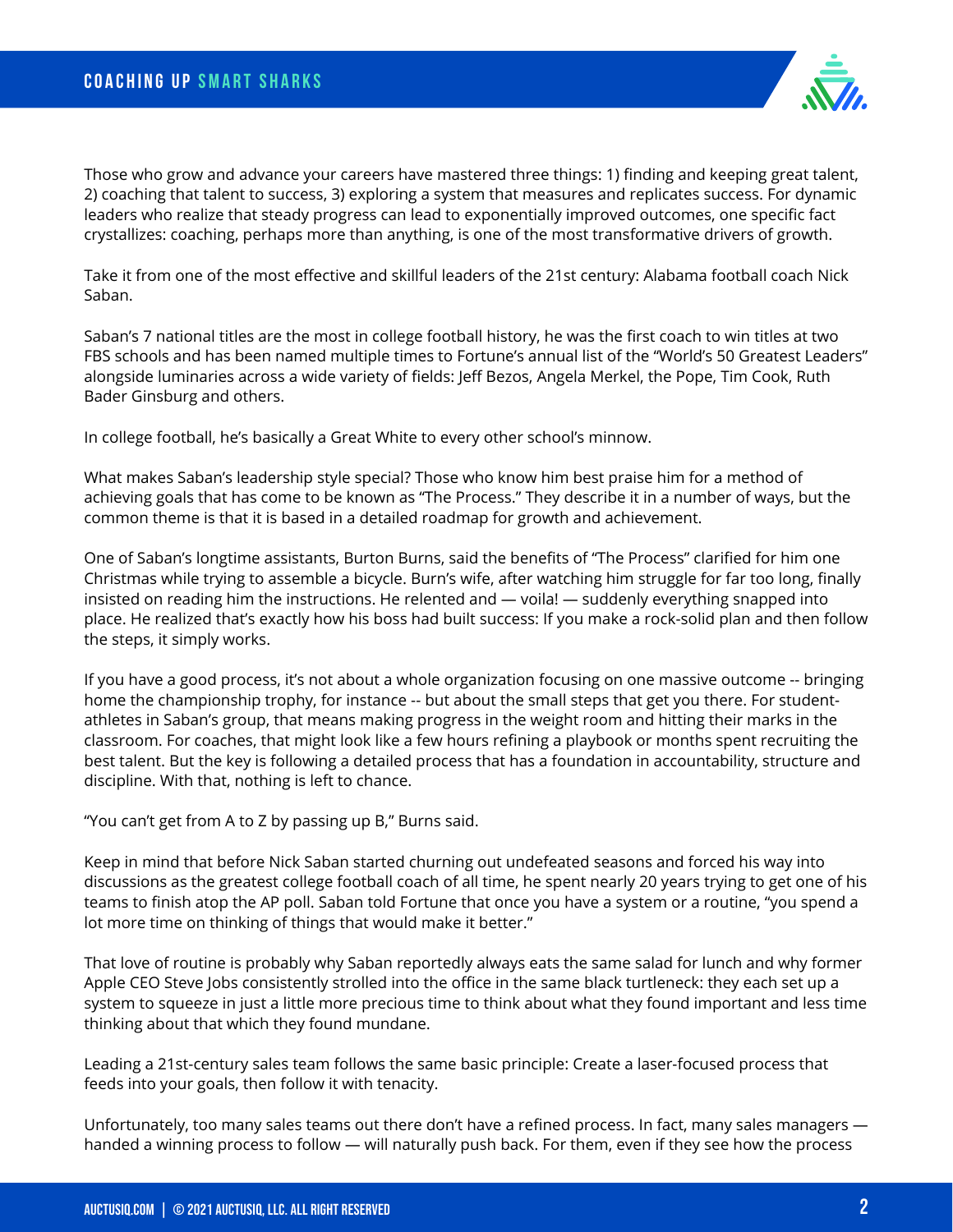

Those who grow and advance your careers have mastered three things: 1) finding and keeping great talent, 2) coaching that talent to success, 3) exploring a system that measures and replicates success. For dynamic leaders who realize that steady progress can lead to exponentially improved outcomes, one specific fact crystallizes: coaching, perhaps more than anything, is one of the most transformative drivers of growth.

Take it from one of the most effective and skillful leaders of the 21st century: Alabama football coach Nick Saban.

Saban's 7 national titles are the most in college football history, he was the first coach to win titles at two FBS schools and has been named multiple times to Fortune's annual list of the "World's 50 Greatest Leaders" alongside luminaries across a wide variety of fields: Jeff Bezos, Angela Merkel, the Pope, Tim Cook, Ruth Bader Ginsburg and others.

In college football, he's basically a Great White to every other school's minnow.

What makes Saban's leadership style special? Those who know him best praise him for a method of achieving goals that has come to be known as "The Process." They describe it in a number of ways, but the common theme is that it is based in a detailed roadmap for growth and achievement.

One of Saban's longtime assistants, Burton Burns, said the benefits of "The Process" clarified for him one Christmas while trying to assemble a bicycle. Burn's wife, after watching him struggle for far too long, finally insisted on reading him the instructions. He relented and — voila! — suddenly everything snapped into place. He realized that's exactly how his boss had built success: If you make a rock-solid plan and then follow the steps, it simply works.

If you have a good process, it's not about a whole organization focusing on one massive outcome -- bringing home the championship trophy, for instance -- but about the small steps that get you there. For studentathletes in Saban's group, that means making progress in the weight room and hitting their marks in the classroom. For coaches, that might look like a few hours refining a playbook or months spent recruiting the best talent. But the key is following a detailed process that has a foundation in accountability, structure and discipline. With that, nothing is left to chance.

"You can't get from A to Z by passing up B," Burns said.

Keep in mind that before Nick Saban started churning out undefeated seasons and forced his way into discussions as the greatest college football coach of all time, he spent nearly 20 years trying to get one of his teams to finish atop the AP poll. Saban told Fortune that once you have a system or a routine, "you spend a lot more time on thinking of things that would make it better."

That love of routine is probably why Saban reportedly always eats the same salad for lunch and why former Apple CEO Steve Jobs consistently strolled into the office in the same black turtleneck: they each set up a system to squeeze in just a little more precious time to think about what they found important and less time thinking about that which they found mundane.

Leading a 21st-century sales team follows the same basic principle: Create a laser-focused process that feeds into your goals, then follow it with tenacity.

Unfortunately, too many sales teams out there don't have a refined process. In fact, many sales managers handed a winning process to follow — will naturally push back. For them, even if they see how the process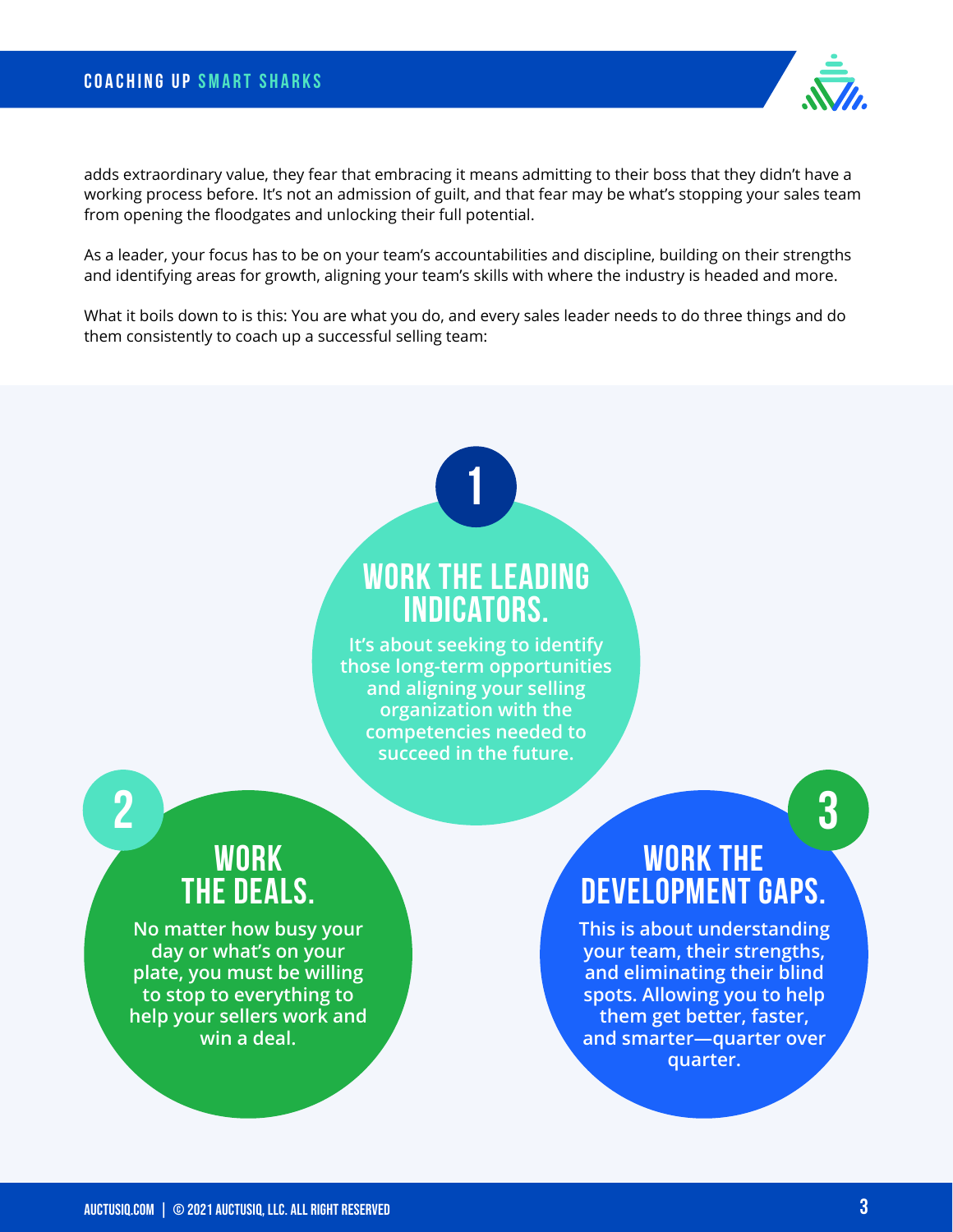adds extraordinary value, they fear that embracing it means admitting to their boss that they didn't have a working process before. It's not an admission of guilt, and that fear may be what's stopping your sales team from opening the floodgates and unlocking their full potential.

As a leader, your focus has to be on your team's accountabilities and discipline, building on their strengths and identifying areas for growth, aligning your team's skills with where the industry is headed and more.

What it boils down to is this: You are what you do, and every sales leader needs to do three things and do them consistently to coach up a successful selling team:

# **Work the Leading Indicators.**

**1**

**It's about seeking to identify those long-term opportunities and aligning your selling organization with the competencies needed to succeed in the future.**

# **Work the Deals. 2 3**

**No matter how busy your day or what's on your plate, you must be willing to stop to everything to help your sellers work and win a deal.**

# **Work the Development Gaps.**

**This is about understanding your team, their strengths, and eliminating their blind spots. Allowing you to help them get better, faster, and smarter—quarter over quarter.**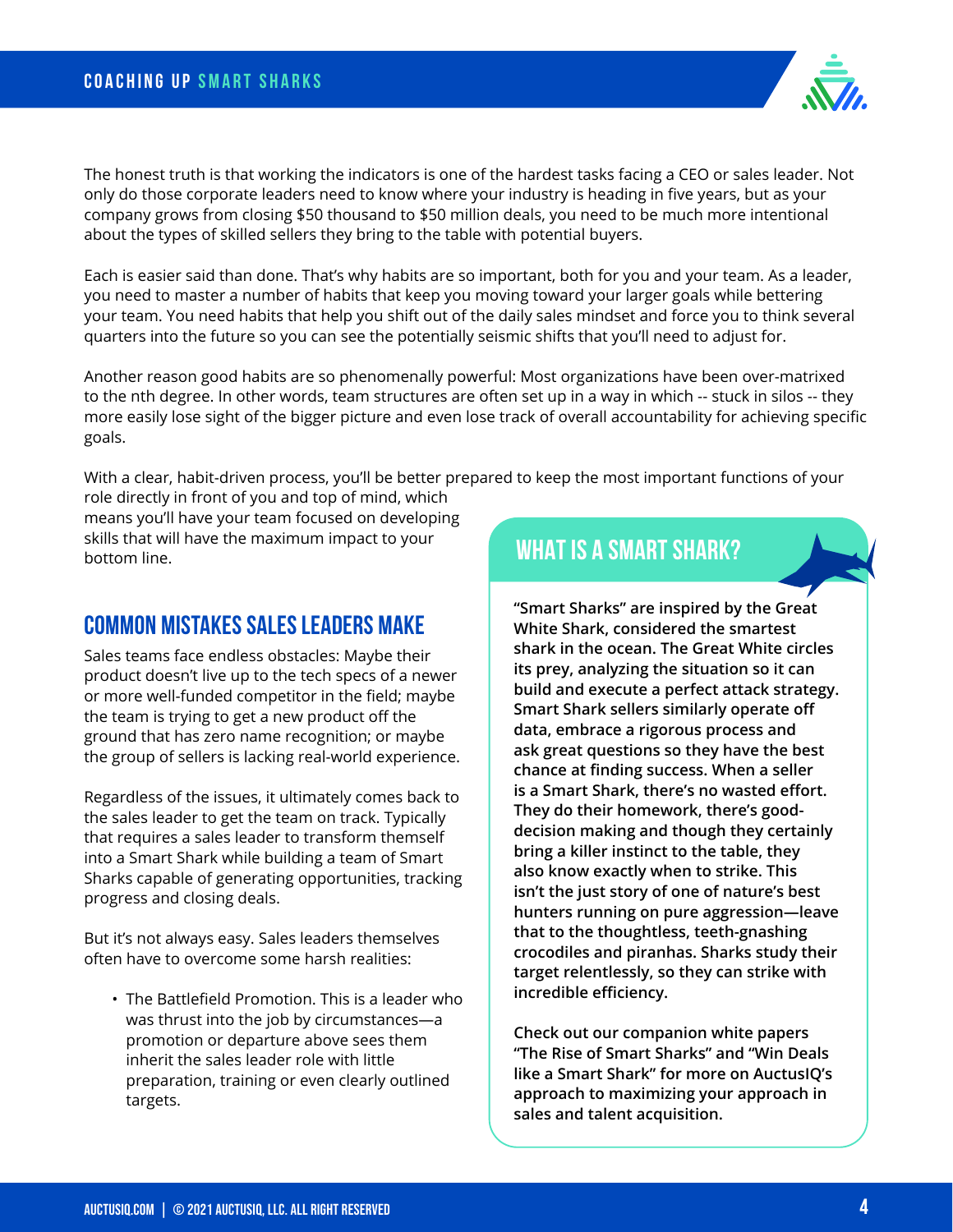The honest truth is that working the indicators is one of the hardest tasks facing a CEO or sales leader. Not only do those corporate leaders need to know where your industry is heading in five years, but as your company grows from closing \$50 thousand to \$50 million deals, you need to be much more intentional about the types of skilled sellers they bring to the table with potential buyers.

Each is easier said than done. That's why habits are so important, both for you and your team. As a leader, you need to master a number of habits that keep you moving toward your larger goals while bettering your team. You need habits that help you shift out of the daily sales mindset and force you to think several quarters into the future so you can see the potentially seismic shifts that you'll need to adjust for.

Another reason good habits are so phenomenally powerful: Most organizations have been over-matrixed to the nth degree. In other words, team structures are often set up in a way in which -- stuck in silos -- they more easily lose sight of the bigger picture and even lose track of overall accountability for achieving specific goals.

With a clear, habit-driven process, you'll be better prepared to keep the most important functions of your

role directly in front of you and top of mind, which means you'll have your team focused on developing skills that will have the maximum impact to your bottom line.

#### **Common Mistakes Sales Leaders Make**

Sales teams face endless obstacles: Maybe their product doesn't live up to the tech specs of a newer or more well-funded competitor in the field; maybe the team is trying to get a new product off the ground that has zero name recognition; or maybe the group of sellers is lacking real-world experience.

Regardless of the issues, it ultimately comes back to the sales leader to get the team on track. Typically that requires a sales leader to transform themself into a Smart Shark while building a team of Smart Sharks capable of generating opportunities, tracking progress and closing deals.

But it's not always easy. Sales leaders themselves often have to overcome some harsh realities:

• The Battlefield Promotion. This is a leader who was thrust into the job by circumstances—a promotion or departure above sees them inherit the sales leader role with little preparation, training or even clearly outlined targets.

## **WHAT IS A SMART SHARK?**

**"Smart Sharks" are inspired by the Great White Shark, considered the smartest shark in the ocean. The Great White circles its prey, analyzing the situation so it can build and execute a perfect attack strategy. Smart Shark sellers similarly operate off data, embrace a rigorous process and ask great questions so they have the best chance at finding success. When a seller is a Smart Shark, there's no wasted effort. They do their homework, there's gooddecision making and though they certainly bring a killer instinct to the table, they also know exactly when to strike. This isn't the just story of one of nature's best hunters running on pure aggression—leave that to the thoughtless, teeth-gnashing crocodiles and piranhas. Sharks study their target relentlessly, so they can strike with incredible efficiency.**

**Check out our companion white papers "The Rise of Smart Sharks" and "Win Deals like a Smart Shark" for more on AuctusIQ's approach to maximizing your approach in sales and talent acquisition.**

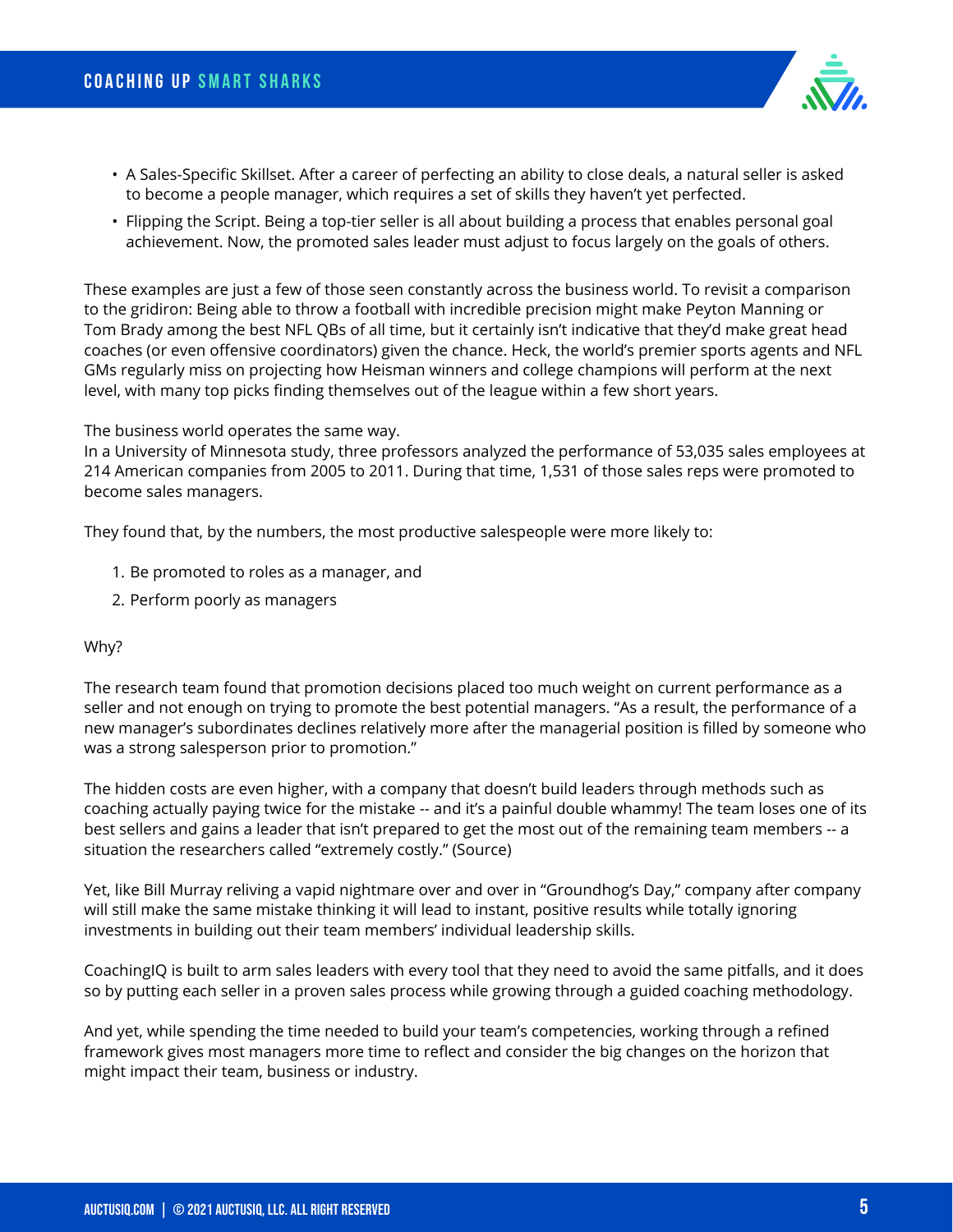

- A Sales-Specific Skillset. After a career of perfecting an ability to close deals, a natural seller is asked to become a people manager, which requires a set of skills they haven't yet perfected.
- Flipping the Script. Being a top-tier seller is all about building a process that enables personal goal achievement. Now, the promoted sales leader must adjust to focus largely on the goals of others.

These examples are just a few of those seen constantly across the business world. To revisit a comparison to the gridiron: Being able to throw a football with incredible precision might make Peyton Manning or Tom Brady among the best NFL QBs of all time, but it certainly isn't indicative that they'd make great head coaches (or even offensive coordinators) given the chance. Heck, the world's premier sports agents and NFL GMs regularly miss on projecting how Heisman winners and college champions will perform at the next level, with many top picks finding themselves out of the league within a few short years.

#### The business world operates the same way.

In a University of Minnesota study, three professors analyzed the performance of 53,035 sales employees at 214 American companies from 2005 to 2011. During that time, 1,531 of those sales reps were promoted to become sales managers.

They found that, by the numbers, the most productive salespeople were more likely to:

- 1. Be promoted to roles as a manager, and
- 2. Perform poorly as managers

#### Why?

The research team found that promotion decisions placed too much weight on current performance as a seller and not enough on trying to promote the best potential managers. "As a result, the performance of a new manager's subordinates declines relatively more after the managerial position is filled by someone who was a strong salesperson prior to promotion."

The hidden costs are even higher, with a company that doesn't build leaders through methods such as coaching actually paying twice for the mistake -- and it's a painful double whammy! The team loses one of its best sellers and gains a leader that isn't prepared to get the most out of the remaining team members -- a situation the researchers called "extremely costly." (Source)

Yet, like Bill Murray reliving a vapid nightmare over and over in "Groundhog's Day," company after company will still make the same mistake thinking it will lead to instant, positive results while totally ignoring investments in building out their team members' individual leadership skills.

CoachingIQ is built to arm sales leaders with every tool that they need to avoid the same pitfalls, and it does so by putting each seller in a proven sales process while growing through a guided coaching methodology.

And yet, while spending the time needed to build your team's competencies, working through a refined framework gives most managers more time to reflect and consider the big changes on the horizon that might impact their team, business or industry.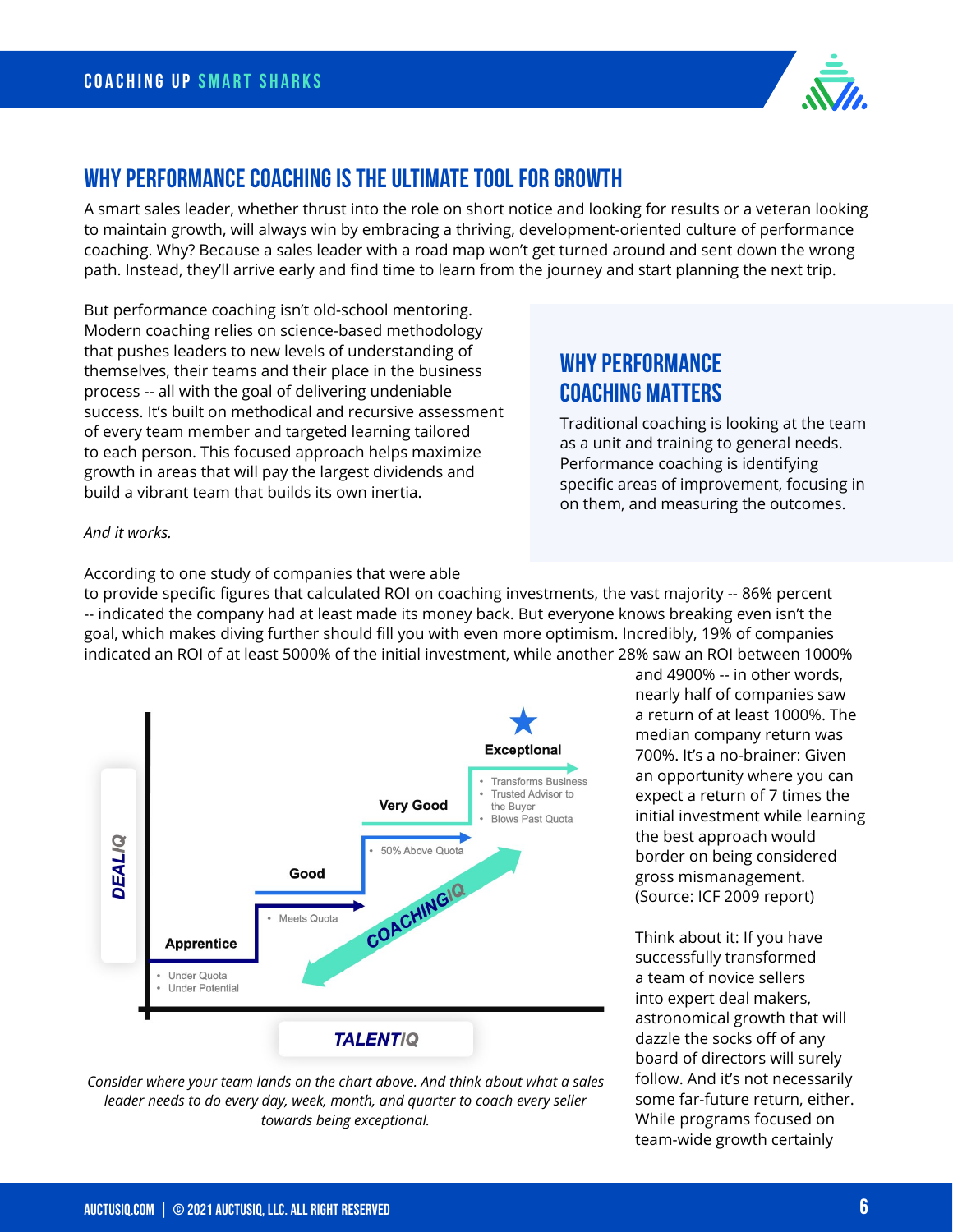

#### **Why Performance Coaching is the Ultimate Tool for Growth**

A smart sales leader, whether thrust into the role on short notice and looking for results or a veteran looking to maintain growth, will always win by embracing a thriving, development-oriented culture of performance coaching. Why? Because a sales leader with a road map won't get turned around and sent down the wrong path. Instead, they'll arrive early and find time to learn from the journey and start planning the next trip.

But performance coaching isn't old-school mentoring. Modern coaching relies on science-based methodology that pushes leaders to new levels of understanding of themselves, their teams and their place in the business process -- all with the goal of delivering undeniable success. It's built on methodical and recursive assessment of every team member and targeted learning tailored to each person. This focused approach helps maximize growth in areas that will pay the largest dividends and build a vibrant team that builds its own inertia.

## **WHY PERFORMANCE COACHING MATTERS**

Traditional coaching is looking at the team as a unit and training to general needs. Performance coaching is identifying specific areas of improvement, focusing in on them, and measuring the outcomes.

#### *And it works.*

According to one study of companies that were able

to provide specific figures that calculated ROI on coaching investments, the vast majority -- 86% percent -- indicated the company had at least made its money back. But everyone knows breaking even isn't the goal, which makes diving further should fill you with even more optimism. Incredibly, 19% of companies indicated an ROI of at least 5000% of the initial investment, while another 28% saw an ROI between 1000%





and 4900% -- in other words, nearly half of companies saw a return of at least 1000%. The median company return was 700%. It's a no-brainer: Given an opportunity where you can expect a return of 7 times the initial investment while learning the best approach would border on being considered gross mismanagement. (Source: ICF 2009 report)

Think about it: If you have successfully transformed a team of novice sellers into expert deal makers, astronomical growth that will dazzle the socks off of any board of directors will surely follow. And it's not necessarily some far-future return, either. While programs focused on team-wide growth certainly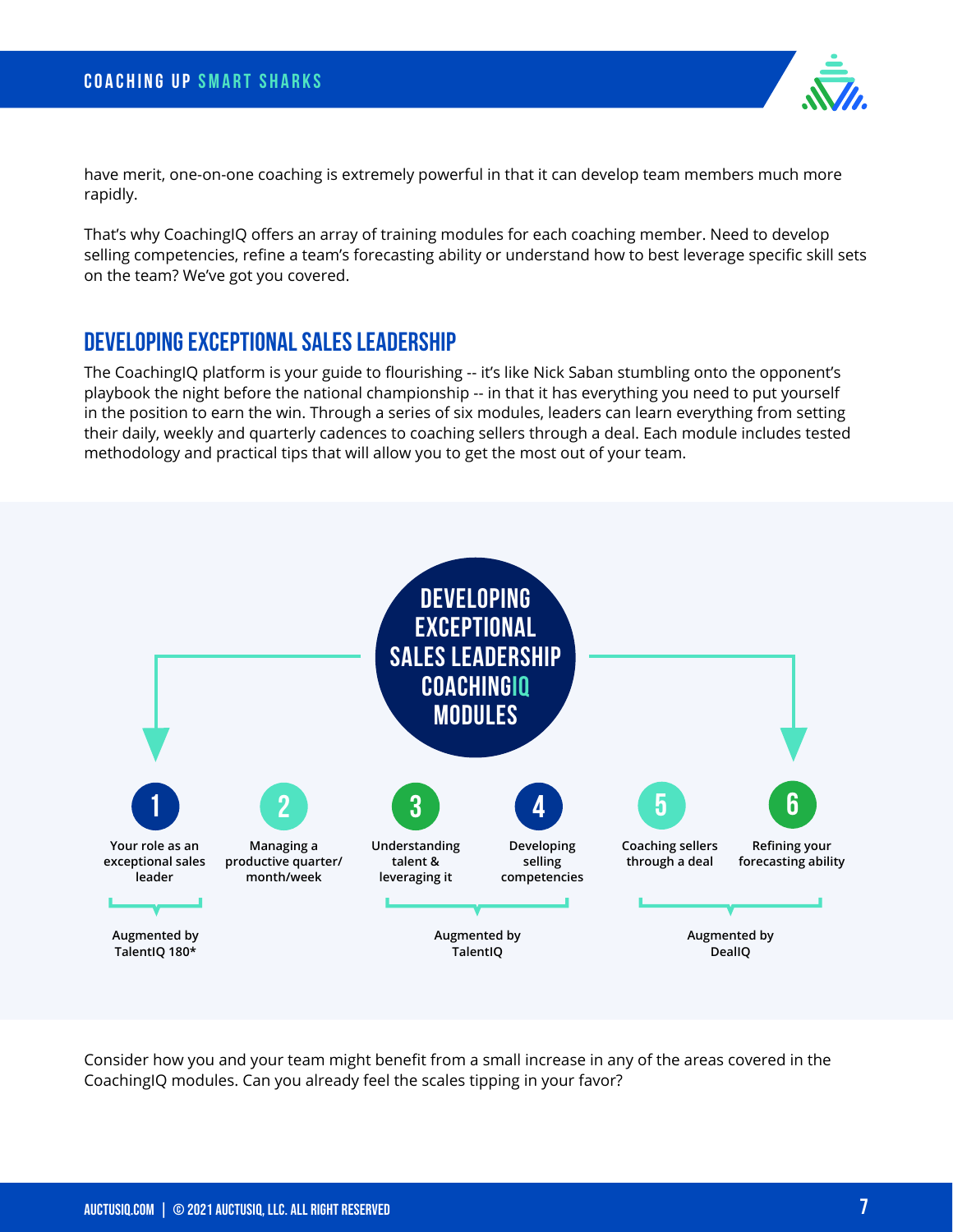

have merit, one-on-one coaching is extremely powerful in that it can develop team members much more rapidly.

That's why CoachingIQ offers an array of training modules for each coaching member. Need to develop selling competencies, refine a team's forecasting ability or understand how to best leverage specific skill sets on the team? We've got you covered.

#### **Developing Exceptional Sales Leadership**

The CoachingIQ platform is your guide to flourishing -- it's like Nick Saban stumbling onto the opponent's playbook the night before the national championship -- in that it has everything you need to put yourself in the position to earn the win. Through a series of six modules, leaders can learn everything from setting their daily, weekly and quarterly cadences to coaching sellers through a deal. Each module includes tested methodology and practical tips that will allow you to get the most out of your team.



Consider how you and your team might benefit from a small increase in any of the areas covered in the CoachingIQ modules. Can you already feel the scales tipping in your favor?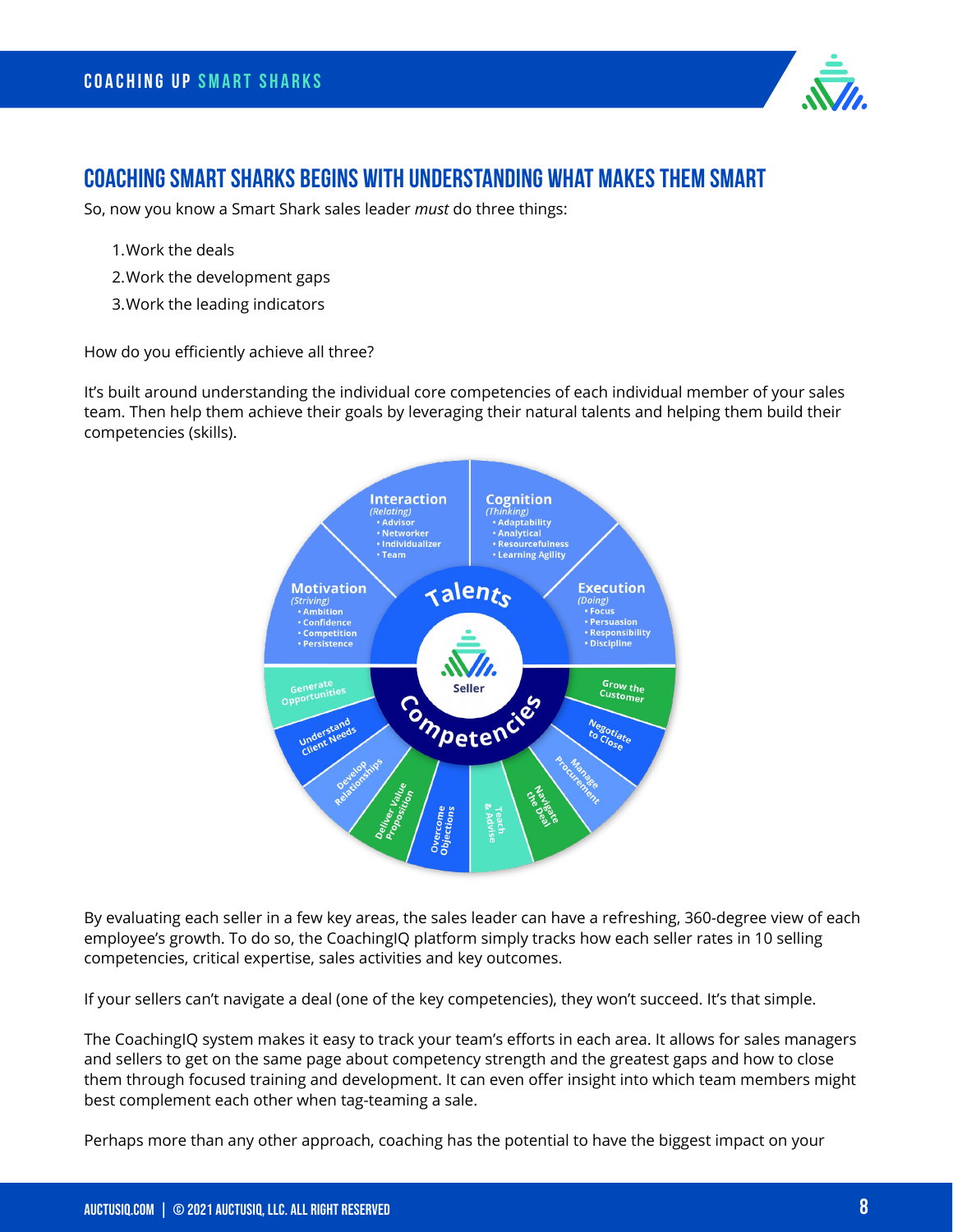

#### **Coaching Smart Sharks begins with understanding what makes them smart**

So, now you know a Smart Shark sales leader *must* do three things:

- 1.Work the deals
- 2.Work the development gaps
- 3.Work the leading indicators

How do you efficiently achieve all three?

It's built around understanding the individual core competencies of each individual member of your sales team. Then help them achieve their goals by leveraging their natural talents and helping them build their competencies (skills).



By evaluating each seller in a few key areas, the sales leader can have a refreshing, 360-degree view of each employee's growth. To do so, the CoachingIQ platform simply tracks how each seller rates in 10 selling competencies, critical expertise, sales activities and key outcomes.

If your sellers can't navigate a deal (one of the key competencies), they won't succeed. It's that simple.

The CoachingIQ system makes it easy to track your team's efforts in each area. It allows for sales managers and sellers to get on the same page about competency strength and the greatest gaps and how to close them through focused training and development. It can even offer insight into which team members might best complement each other when tag-teaming a sale.

Perhaps more than any other approach, coaching has the potential to have the biggest impact on your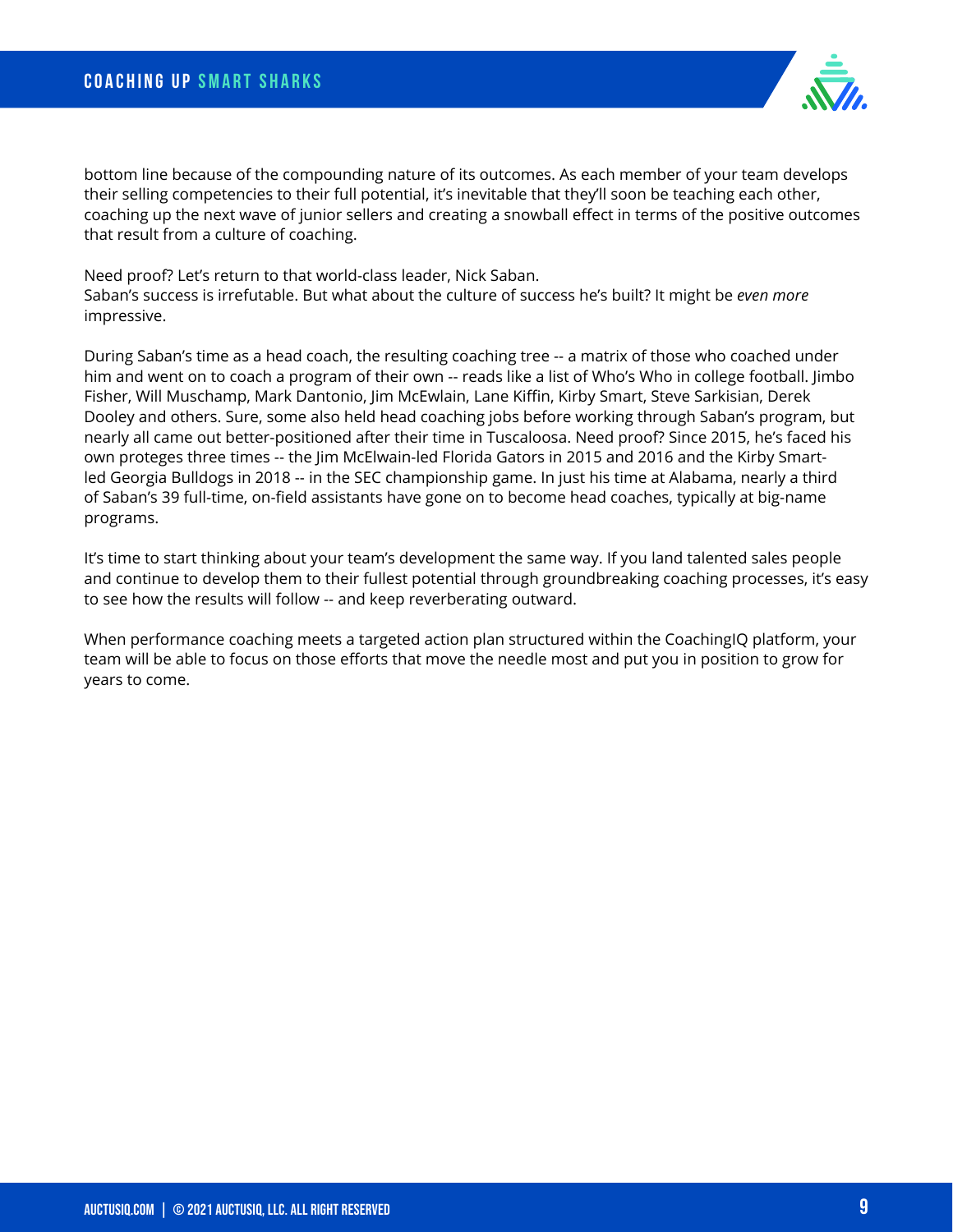bottom line because of the compounding nature of its outcomes. As each member of your team develops their selling competencies to their full potential, it's inevitable that they'll soon be teaching each other, coaching up the next wave of junior sellers and creating a snowball effect in terms of the positive outcomes that result from a culture of coaching.

Need proof? Let's return to that world-class leader, Nick Saban. Saban's success is irrefutable. But what about the culture of success he's built? It might be *even more* impressive.

During Saban's time as a head coach, the resulting coaching tree -- a matrix of those who coached under him and went on to coach a program of their own -- reads like a list of Who's Who in college football. Jimbo Fisher, Will Muschamp, Mark Dantonio, Jim McEwlain, Lane Kiffin, Kirby Smart, Steve Sarkisian, Derek Dooley and others. Sure, some also held head coaching jobs before working through Saban's program, but nearly all came out better-positioned after their time in Tuscaloosa. Need proof? Since 2015, he's faced his own proteges three times -- the Jim McElwain-led Florida Gators in 2015 and 2016 and the Kirby Smartled Georgia Bulldogs in 2018 -- in the SEC championship game. In just his time at Alabama, nearly a third of Saban's 39 full-time, on-field assistants have gone on to become head coaches, typically at big-name programs.

It's time to start thinking about your team's development the same way. If you land talented sales people and continue to develop them to their fullest potential through groundbreaking coaching processes, it's easy to see how the results will follow -- and keep reverberating outward.

When performance coaching meets a targeted action plan structured within the CoachingIQ platform, your team will be able to focus on those efforts that move the needle most and put you in position to grow for years to come.